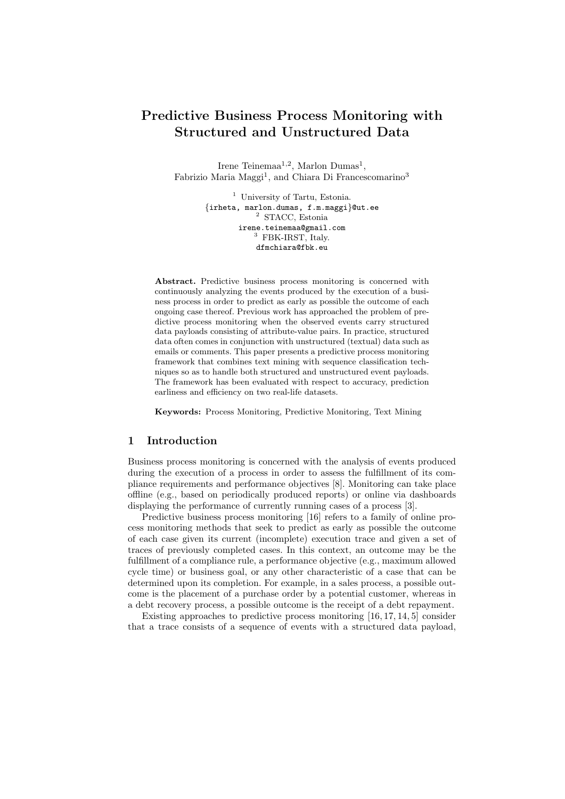# Predictive Business Process Monitoring with Structured and Unstructured Data

Irene Teinemaa<sup>1,2</sup>, Marlon Dumas<sup>1</sup>, Fabrizio Maria Maggi<sup>1</sup>, and Chiara Di Francescomarino<sup>3</sup>

> <sup>1</sup> University of Tartu, Estonia. {irheta, marlon.dumas, f.m.maggi}@ut.ee <sup>2</sup> STACC, Estonia irene.teinemaa@gmail.com <sup>3</sup> FBK-IRST, Italy. dfmchiara@fbk.eu

Abstract. Predictive business process monitoring is concerned with continuously analyzing the events produced by the execution of a business process in order to predict as early as possible the outcome of each ongoing case thereof. Previous work has approached the problem of predictive process monitoring when the observed events carry structured data payloads consisting of attribute-value pairs. In practice, structured data often comes in conjunction with unstructured (textual) data such as emails or comments. This paper presents a predictive process monitoring framework that combines text mining with sequence classification techniques so as to handle both structured and unstructured event payloads. The framework has been evaluated with respect to accuracy, prediction earliness and efficiency on two real-life datasets.

Keywords: Process Monitoring, Predictive Monitoring, Text Mining

# 1 Introduction

Business process monitoring is concerned with the analysis of events produced during the execution of a process in order to assess the fulfillment of its compliance requirements and performance objectives [8]. Monitoring can take place offline (e.g., based on periodically produced reports) or online via dashboards displaying the performance of currently running cases of a process [3].

Predictive business process monitoring [16] refers to a family of online process monitoring methods that seek to predict as early as possible the outcome of each case given its current (incomplete) execution trace and given a set of traces of previously completed cases. In this context, an outcome may be the fulfillment of a compliance rule, a performance objective (e.g., maximum allowed cycle time) or business goal, or any other characteristic of a case that can be determined upon its completion. For example, in a sales process, a possible outcome is the placement of a purchase order by a potential customer, whereas in a debt recovery process, a possible outcome is the receipt of a debt repayment.

Existing approaches to predictive process monitoring [16, 17, 14, 5] consider that a trace consists of a sequence of events with a structured data payload,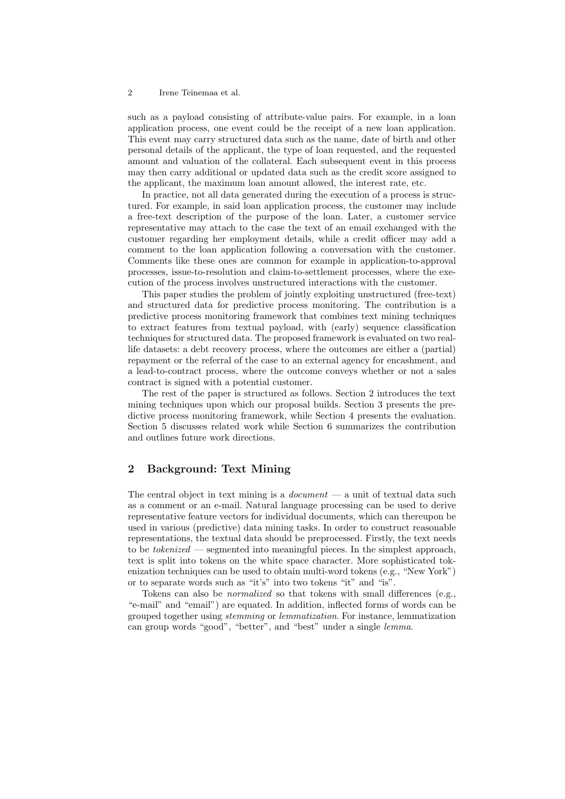such as a payload consisting of attribute-value pairs. For example, in a loan application process, one event could be the receipt of a new loan application. This event may carry structured data such as the name, date of birth and other personal details of the applicant, the type of loan requested, and the requested amount and valuation of the collateral. Each subsequent event in this process may then carry additional or updated data such as the credit score assigned to the applicant, the maximum loan amount allowed, the interest rate, etc.

In practice, not all data generated during the execution of a process is structured. For example, in said loan application process, the customer may include a free-text description of the purpose of the loan. Later, a customer service representative may attach to the case the text of an email exchanged with the customer regarding her employment details, while a credit officer may add a comment to the loan application following a conversation with the customer. Comments like these ones are common for example in application-to-approval processes, issue-to-resolution and claim-to-settlement processes, where the execution of the process involves unstructured interactions with the customer.

This paper studies the problem of jointly exploiting unstructured (free-text) and structured data for predictive process monitoring. The contribution is a predictive process monitoring framework that combines text mining techniques to extract features from textual payload, with (early) sequence classification techniques for structured data. The proposed framework is evaluated on two reallife datasets: a debt recovery process, where the outcomes are either a (partial) repayment or the referral of the case to an external agency for encashment, and a lead-to-contract process, where the outcome conveys whether or not a sales contract is signed with a potential customer.

The rest of the paper is structured as follows. Section 2 introduces the text mining techniques upon which our proposal builds. Section 3 presents the predictive process monitoring framework, while Section 4 presents the evaluation. Section 5 discusses related work while Section 6 summarizes the contribution and outlines future work directions.

# 2 Background: Text Mining

The central object in text mining is a *document* — a unit of textual data such as a comment or an e-mail. Natural language processing can be used to derive representative feature vectors for individual documents, which can thereupon be used in various (predictive) data mining tasks. In order to construct reasonable representations, the textual data should be preprocessed. Firstly, the text needs to be tokenized — segmented into meaningful pieces. In the simplest approach, text is split into tokens on the white space character. More sophisticated tokenization techniques can be used to obtain multi-word tokens (e.g., "New York") or to separate words such as "it's" into two tokens "it" and "is".

Tokens can also be *normalized* so that tokens with small differences (e.g., "e-mail" and "email") are equated. In addition, inflected forms of words can be grouped together using stemming or lemmatization. For instance, lemmatization can group words "good", "better", and "best" under a single lemma.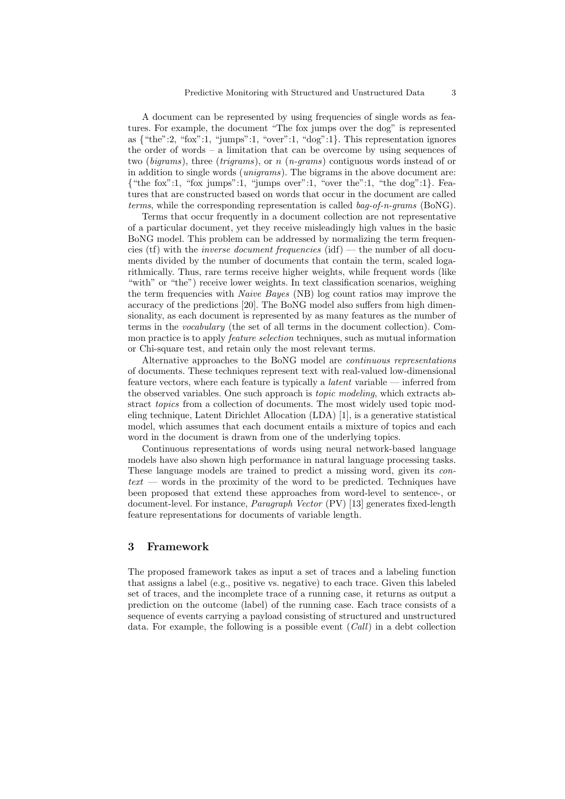A document can be represented by using frequencies of single words as features. For example, the document "The fox jumps over the dog" is represented as {"the":2, "fox":1, "jumps":1, "over":1, "dog":1}. This representation ignores the order of words – a limitation that can be overcome by using sequences of two (bigrams), three (trigrams), or n (n-grams) contiguous words instead of or in addition to single words (unigrams). The bigrams in the above document are:  $\{\n\text{``the fox''}:1, \text{``fox jumps''}:1, \text{``jumps over''}:1, \text{``over the''}:1, \text{``the dog''}:1\}.\n\text{Fea-}$ tures that are constructed based on words that occur in the document are called terms, while the corresponding representation is called bag-of-n-grams (BoNG).

Terms that occur frequently in a document collection are not representative of a particular document, yet they receive misleadingly high values in the basic BoNG model. This problem can be addressed by normalizing the term frequencies (tf) with the *inverse document frequencies* (idf) — the number of all documents divided by the number of documents that contain the term, scaled logarithmically. Thus, rare terms receive higher weights, while frequent words (like "with" or "the") receive lower weights. In text classification scenarios, weighing the term frequencies with Naive Bayes (NB) log count ratios may improve the accuracy of the predictions [20]. The BoNG model also suffers from high dimensionality, as each document is represented by as many features as the number of terms in the vocabulary (the set of all terms in the document collection). Common practice is to apply *feature selection* techniques, such as mutual information or Chi-square test, and retain only the most relevant terms.

Alternative approaches to the BoNG model are continuous representations of documents. These techniques represent text with real-valued low-dimensional feature vectors, where each feature is typically a latent variable — inferred from the observed variables. One such approach is topic modeling, which extracts abstract *topics* from a collection of documents. The most widely used topic modeling technique, Latent Dirichlet Allocation (LDA) [1], is a generative statistical model, which assumes that each document entails a mixture of topics and each word in the document is drawn from one of the underlying topics.

Continuous representations of words using neural network-based language models have also shown high performance in natural language processing tasks. These language models are trained to predict a missing word, given its con $text$  — words in the proximity of the word to be predicted. Techniques have been proposed that extend these approaches from word-level to sentence-, or document-level. For instance, *Paragraph Vector* (PV) [13] generates fixed-length feature representations for documents of variable length.

# 3 Framework

The proposed framework takes as input a set of traces and a labeling function that assigns a label (e.g., positive vs. negative) to each trace. Given this labeled set of traces, and the incomplete trace of a running case, it returns as output a prediction on the outcome (label) of the running case. Each trace consists of a sequence of events carrying a payload consisting of structured and unstructured data. For example, the following is a possible event  $(Call)$  in a debt collection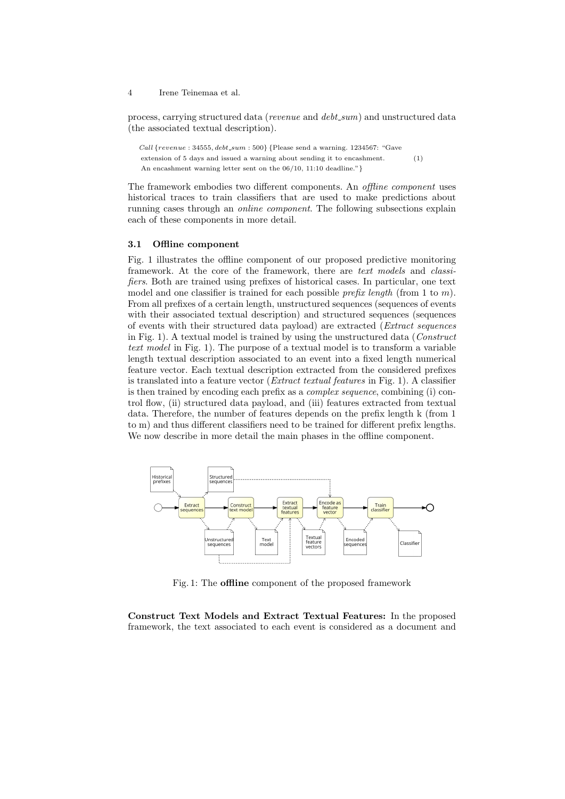process, carrying structured data (revenue and debt\_sum) and unstructured data (the associated textual description).

 $Call\{revenue: 34555, debt\_sum: 500\}$  {Please send a warning. 1234567: "Gave extension of 5 days and issued a warning about sending it to encashment. An encashment warning letter sent on the 06/10, 11:10 deadline."} (1)

The framework embodies two different components. An *offline component* uses historical traces to train classifiers that are used to make predictions about running cases through an *online component*. The following subsections explain each of these components in more detail.

#### 3.1 Offline component

Fig. 1 illustrates the offline component of our proposed predictive monitoring framework. At the core of the framework, there are text models and classifiers. Both are trained using prefixes of historical cases. In particular, one text model and one classifier is trained for each possible *prefix length* (from 1 to  $m$ ). From all prefixes of a certain length, unstructured sequences (sequences of events with their associated textual description) and structured sequences (sequences of events with their structured data payload) are extracted (Extract sequences in Fig. 1). A textual model is trained by using the unstructured data (Construct text model in Fig. 1). The purpose of a textual model is to transform a variable length textual description associated to an event into a fixed length numerical feature vector. Each textual description extracted from the considered prefixes is translated into a feature vector (Extract textual features in Fig. 1). A classifier is then trained by encoding each prefix as a complex sequence, combining (i) control flow, (ii) structured data payload, and (iii) features extracted from textual data. Therefore, the number of features depends on the prefix length k (from 1 to m) and thus different classifiers need to be trained for different prefix lengths. We now describe in more detail the main phases in the offline component.



Fig. 1: The offline component of the proposed framework

Construct Text Models and Extract Textual Features: In the proposed framework, the text associated to each event is considered as a document and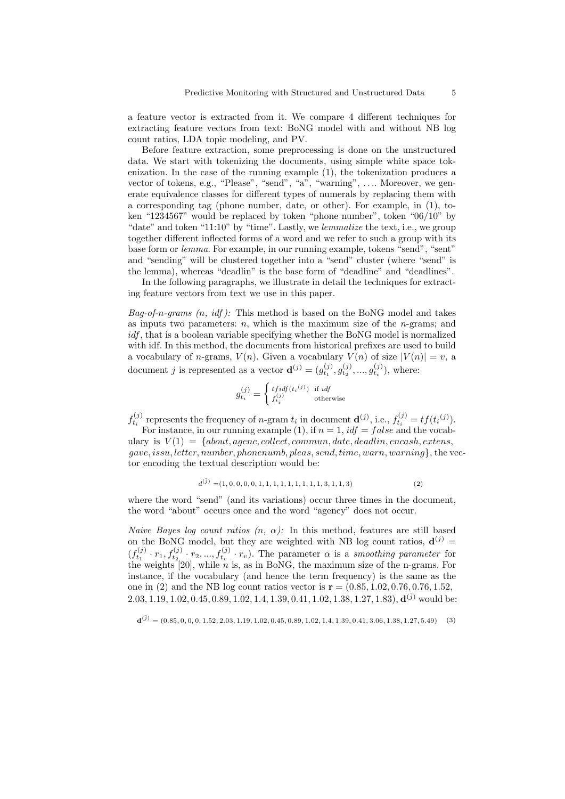a feature vector is extracted from it. We compare 4 different techniques for extracting feature vectors from text: BoNG model with and without NB log count ratios, LDA topic modeling, and PV.

Before feature extraction, some preprocessing is done on the unstructured data. We start with tokenizing the documents, using simple white space tokenization. In the case of the running example (1), the tokenization produces a vector of tokens, e.g., "Please", "send", "a", "warning", . . .. Moreover, we generate equivalence classes for different types of numerals by replacing them with a corresponding tag (phone number, date, or other). For example, in (1), token "1234567" would be replaced by token "phone number", token "06/10" by "date" and token "11:10" by "time". Lastly, we *lemmatize* the text, i.e., we group together different inflected forms of a word and we refer to such a group with its base form or lemma. For example, in our running example, tokens "send", "sent" and "sending" will be clustered together into a "send" cluster (where "send" is the lemma), whereas "deadlin" is the base form of "deadline" and "deadlines".

In the following paragraphs, we illustrate in detail the techniques for extracting feature vectors from text we use in this paper.

Bag-of-n-grams  $(n, idf)$ : This method is based on the BoNG model and takes as inputs two parameters:  $n$ , which is the maximum size of the *n*-grams; and idf, that is a boolean variable specifying whether the BoNG model is normalized with idf. In this method, the documents from historical prefixes are used to build a vocabulary of *n*-grams,  $V(n)$ . Given a vocabulary  $V(n)$  of size  $|V(n)| = v$ , a document j is represented as a vector  $\mathbf{d}^{(j)} = (g_{t_1}^{(j)}, g_{t_2}^{(j)}, ..., g_{t_v}^{(j)})$ , where:

$$
g_{t_i}^{(j)} = \begin{cases} \text{tfidf}(t_i^{(j)}) & \text{if } \text{idf} \\ \text{f}_{t_i}^{(j)} & \text{otherwise} \end{cases}
$$

 $f_{t_i}^{(j)}$  represents the frequency of *n*-gram  $t_i$  in document  $\mathbf{d}^{(j)}$ , i.e.,  $f_{t_i}^{(j)} = tf(t_i^{(j)})$ . For instance, in our running example (1), if  $n = 1$ ,  $\textit{idf} = \textit{false}$  and the vocabulary is  $V(1) = \{about, agency, collect, commun, date, deadline, encash, extens,$ gave, issu, letter, number, phonenumb, pleas, send, time, warn, warning}, the vector encoding the textual description would be:

$$
d^{(\bar{j})} = (1, 0, 0, 0, 0, 1, 1, 1, 1, 1, 1, 1, 1, 1, 3, 1, 1, 3)
$$
\n
$$
(2)
$$

where the word "send" (and its variations) occur three times in the document, the word "about" occurs once and the word "agency" does not occur.

Naive Bayes log count ratios  $(n, \alpha)$ : In this method, features are still based on the BoNG model, but they are weighted with NB log count ratios,  $\mathbf{d}^{(j)}$  =  $(f_{t_1}^{(j)} \cdot r_1, f_{t_2}^{(j)} \cdot r_2, ..., f_{t_v}^{(j)} \cdot r_v)$ . The parameter  $\alpha$  is a smoothing parameter for the weights  $[20]$ , while n is, as in BoNG, the maximum size of the n-grams. For instance, if the vocabulary (and hence the term frequency) is the same as the one in (2) and the NB log count ratios vector is  $r = (0.85, 1.02, 0.76, 0.76, 1.52, ...)$  $2.03, 1.19, 1.02, 0.45, 0.89, 1.02, 1.4, 1.39, 0.41, 1.02, 1.38, 1.27, 1.83), \mathbf{d}^{(\bar{j})}$  would be:

 $\mathbf{d}^{(\bar{j})} = (0.85, 0, 0, 0, 1.52, 2.03, 1.19, 1.02, 0.45, 0.89, 1.02, 1.4, 1.39, 0.41, 3.06, 1.38, 1.27, 5.49)$  (3)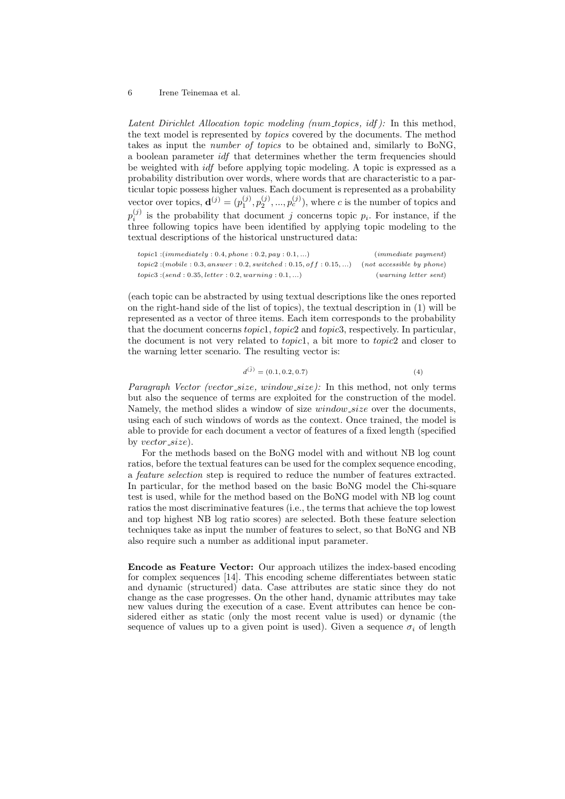Latent Dirichlet Allocation topic modeling (num topics, idf): In this method, the text model is represented by topics covered by the documents. The method takes as input the number of topics to be obtained and, similarly to BoNG, a boolean parameter idf that determines whether the term frequencies should be weighted with idf before applying topic modeling. A topic is expressed as a probability distribution over words, where words that are characteristic to a particular topic possess higher values. Each document is represented as a probability vector over topics,  $\mathbf{d}^{(j)} = (p_1^{(j)}, p_2^{(j)}, ..., p_c^{(j)})$ , where c is the number of topics and  $p_i^{(j)}$  is the probability that document j concerns topic  $p_i$ . For instance, if the three following topics have been identified by applying topic modeling to the textual descriptions of the historical unstructured data:

| $topic1:(immediately: 0.4, phone: 0.2, pay: 0.1,)$                                  | $(immediate\ payment)$       |
|-------------------------------------------------------------------------------------|------------------------------|
| $topic2:(mobile:0.3, answer:0.2, switched:0.15,off:0.15)$ (not accessible by phone) |                              |
| $topic3:(send: 0.35, letter: 0.2, warning: 0.1,)$                                   | <i>(warning letter sent)</i> |

(each topic can be abstracted by using textual descriptions like the ones reported on the right-hand side of the list of topics), the textual description in (1) will be represented as a vector of three items. Each item corresponds to the probability that the document concerns topic1, topic2 and topic3, respectively. In particular, the document is not very related to topic1, a bit more to topic2 and closer to the warning letter scenario. The resulting vector is:

$$
d^{(\bar{j})} = (0.1, 0.2, 0.7) \tag{4}
$$

Paragraph Vector (vector size, window size): In this method, not only terms but also the sequence of terms are exploited for the construction of the model. Namely, the method slides a window of size *window\_size* over the documents, using each of such windows of words as the context. Once trained, the model is able to provide for each document a vector of features of a fixed length (specified by vector\_size).

For the methods based on the BoNG model with and without NB log count ratios, before the textual features can be used for the complex sequence encoding, a feature selection step is required to reduce the number of features extracted. In particular, for the method based on the basic BoNG model the Chi-square test is used, while for the method based on the BoNG model with NB log count ratios the most discriminative features (i.e., the terms that achieve the top lowest and top highest NB log ratio scores) are selected. Both these feature selection techniques take as input the number of features to select, so that BoNG and NB also require such a number as additional input parameter.

Encode as Feature Vector: Our approach utilizes the index-based encoding for complex sequences [14]. This encoding scheme differentiates between static and dynamic (structured) data. Case attributes are static since they do not change as the case progresses. On the other hand, dynamic attributes may take new values during the execution of a case. Event attributes can hence be considered either as static (only the most recent value is used) or dynamic (the sequence of values up to a given point is used). Given a sequence  $\sigma_i$  of length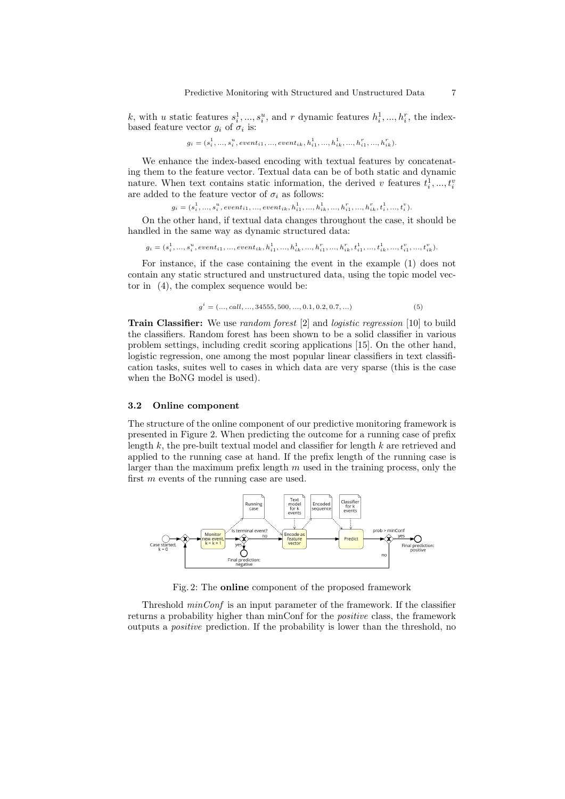k, with u static features  $s_i^1, ..., s_i^u$ , and r dynamic features  $h_i^1, ..., h_i^r$ , the indexbased feature vector  $g_i$  of  $\sigma_i$  is:

 $g_i = (s_i^1, ..., s_i^u, event_{i1}, ..., event_{ik}, h_{i1}^1, ..., h_{ik}^1, ..., h_{i1}^r, ..., h_{ik}^r).$ 

We enhance the index-based encoding with textual features by concatenating them to the feature vector. Textual data can be of both static and dynamic nature. When text contains static information, the derived v features  $t_i^1, ..., t_i^v$ are added to the feature vector of  $\sigma_i$  as follows:

 $g_i = (s_i^1, ..., s_i^u, event_{i1}, ..., event_{ik}, h_{i1}^1, ..., h_{ik}^1, ..., h_{i1}^r, ..., h_{ik}^r, t_i^1, ..., t_i^v).$ 

On the other hand, if textual data changes throughout the case, it should be handled in the same way as dynamic structured data:

 $g_i = (s_i^1, ..., s_i^u, event_{i1}, ..., event_{ik}, h_{i1}^1, ..., h_{ik}^1, ..., h_{i1}^r, ..., h_{ik}^r, t_{i1}^1, ..., t_{ik}^1, ..., t_{i1}^v, ..., t_{i1}^v, ..., t_{i1}^v,$ 

For instance, if the case containing the event in the example (1) does not contain any static structured and unstructured data, using the topic model vector in (4), the complex sequence would be:

$$
g^{i} = (..., call, ..., 34555, 500, ..., 0.1, 0.2, 0.7, ...)
$$
\n
$$
(5)
$$

Train Classifier: We use *random forest* [2] and *logistic regression* [10] to build the classifiers. Random forest has been shown to be a solid classifier in various problem settings, including credit scoring applications [15]. On the other hand, logistic regression, one among the most popular linear classifiers in text classification tasks, suites well to cases in which data are very sparse (this is the case when the BoNG model is used).

#### 3.2 Online component

The structure of the online component of our predictive monitoring framework is presented in Figure 2. When predicting the outcome for a running case of prefix length  $k$ , the pre-built textual model and classifier for length  $k$  are retrieved and applied to the running case at hand. If the prefix length of the running case is larger than the maximum prefix length  $m$  used in the training process, only the first m events of the running case are used.



Fig. 2: The online component of the proposed framework

Threshold  $minConf$  is an input parameter of the framework. If the classifier returns a probability higher than minConf for the *positive* class, the framework outputs a positive prediction. If the probability is lower than the threshold, no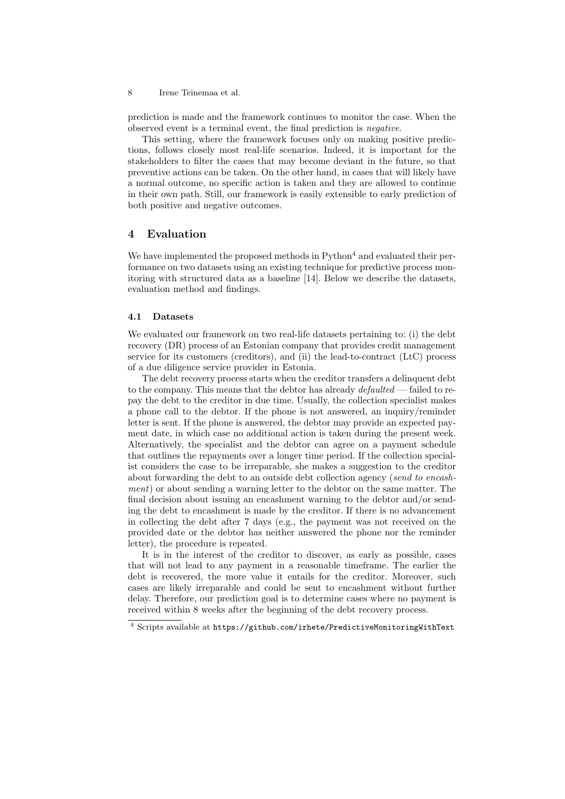prediction is made and the framework continues to monitor the case. When the observed event is a terminal event, the final prediction is negative.

This setting, where the framework focuses only on making positive predictions, follows closely most real-life scenarios. Indeed, it is important for the stakeholders to filter the cases that may become deviant in the future, so that preventive actions can be taken. On the other hand, in cases that will likely have a normal outcome, no specific action is taken and they are allowed to continue in their own path. Still, our framework is easily extensible to early prediction of both positive and negative outcomes.

# 4 Evaluation

We have implemented the proposed methods in  $Python<sup>4</sup>$  and evaluated their performance on two datasets using an existing technique for predictive process monitoring with structured data as a baseline [14]. Below we describe the datasets, evaluation method and findings.

# 4.1 Datasets

We evaluated our framework on two real-life datasets pertaining to: (i) the debt recovery (DR) process of an Estonian company that provides credit management service for its customers (creditors), and (ii) the lead-to-contract (LtC) process of a due diligence service provider in Estonia.

The debt recovery process starts when the creditor transfers a delinquent debt to the company. This means that the debtor has already  $\textit{defaulted}$  — failed to repay the debt to the creditor in due time. Usually, the collection specialist makes a phone call to the debtor. If the phone is not answered, an inquiry/reminder letter is sent. If the phone is answered, the debtor may provide an expected payment date, in which case no additional action is taken during the present week. Alternatively, the specialist and the debtor can agree on a payment schedule that outlines the repayments over a longer time period. If the collection specialist considers the case to be irreparable, she makes a suggestion to the creditor about forwarding the debt to an outside debt collection agency (send to encashment) or about sending a warning letter to the debtor on the same matter. The final decision about issuing an encashment warning to the debtor and/or sending the debt to encashment is made by the creditor. If there is no advancement in collecting the debt after 7 days (e.g., the payment was not received on the provided date or the debtor has neither answered the phone nor the reminder letter), the procedure is repeated.

It is in the interest of the creditor to discover, as early as possible, cases that will not lead to any payment in a reasonable timeframe. The earlier the debt is recovered, the more value it entails for the creditor. Moreover, such cases are likely irreparable and could be sent to encashment without further delay. Therefore, our prediction goal is to determine cases where no payment is received within 8 weeks after the beginning of the debt recovery process.

 $^4$  Scripts available at  $\texttt{https://github.com/irhete/PredictiveMonitoringWithText}$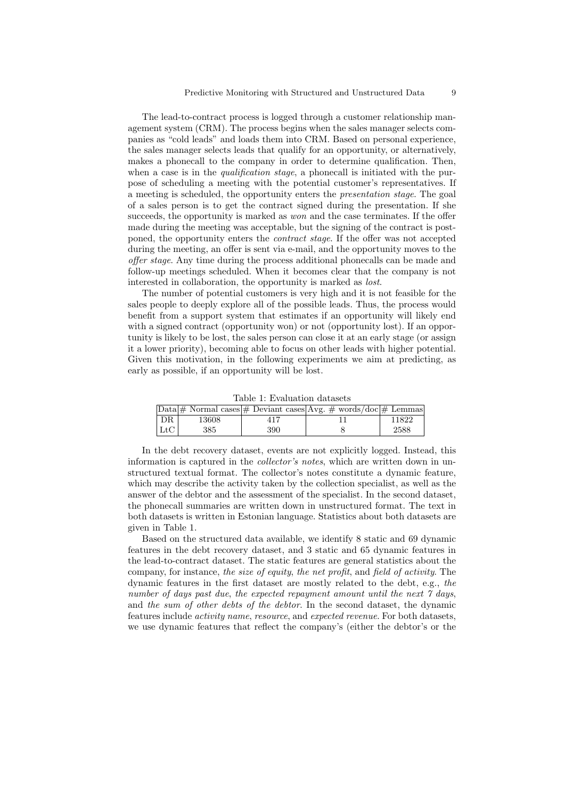The lead-to-contract process is logged through a customer relationship management system (CRM). The process begins when the sales manager selects companies as "cold leads" and loads them into CRM. Based on personal experience, the sales manager selects leads that qualify for an opportunity, or alternatively, makes a phonecall to the company in order to determine qualification. Then, when a case is in the *qualification stage*, a phonecall is initiated with the purpose of scheduling a meeting with the potential customer's representatives. If a meeting is scheduled, the opportunity enters the presentation stage. The goal of a sales person is to get the contract signed during the presentation. If she succeeds, the opportunity is marked as *won* and the case terminates. If the offer made during the meeting was acceptable, but the signing of the contract is postponed, the opportunity enters the contract stage. If the offer was not accepted during the meeting, an offer is sent via e-mail, and the opportunity moves to the offer stage. Any time during the process additional phonecalls can be made and follow-up meetings scheduled. When it becomes clear that the company is not interested in collaboration, the opportunity is marked as lost.

The number of potential customers is very high and it is not feasible for the sales people to deeply explore all of the possible leads. Thus, the process would benefit from a support system that estimates if an opportunity will likely end with a signed contract (opportunity won) or not (opportunity lost). If an opportunity is likely to be lost, the sales person can close it at an early stage (or assign it a lower priority), becoming able to focus on other leads with higher potential. Given this motivation, in the following experiments we aim at predicting, as early as possible, if an opportunity will be lost.

Table 1: Evaluation datasets

|              |       |     | $ \text{Data} $ # Normal cases $ \text{\# Deviant cases} $ Avg. # words/doc $ \text{\# Lemmas} \$ |       |  |  |  |  |  |  |
|--------------|-------|-----|---------------------------------------------------------------------------------------------------|-------|--|--|--|--|--|--|
| $\Box$ DR    | 13608 |     |                                                                                                   | 11822 |  |  |  |  |  |  |
| $_{\rm LtC}$ | 385   | 390 |                                                                                                   | 2588  |  |  |  |  |  |  |

In the debt recovery dataset, events are not explicitly logged. Instead, this information is captured in the collector's notes, which are written down in unstructured textual format. The collector's notes constitute a dynamic feature, which may describe the activity taken by the collection specialist, as well as the answer of the debtor and the assessment of the specialist. In the second dataset, the phonecall summaries are written down in unstructured format. The text in both datasets is written in Estonian language. Statistics about both datasets are given in Table 1.

Based on the structured data available, we identify 8 static and 69 dynamic features in the debt recovery dataset, and 3 static and 65 dynamic features in the lead-to-contract dataset. The static features are general statistics about the company, for instance, the size of equity, the net profit, and field of activity. The dynamic features in the first dataset are mostly related to the debt, e.g., the number of days past due, the expected repayment amount until the next  $\gamma$  days, and the sum of other debts of the debtor. In the second dataset, the dynamic features include activity name, resource, and expected revenue. For both datasets, we use dynamic features that reflect the company's (either the debtor's or the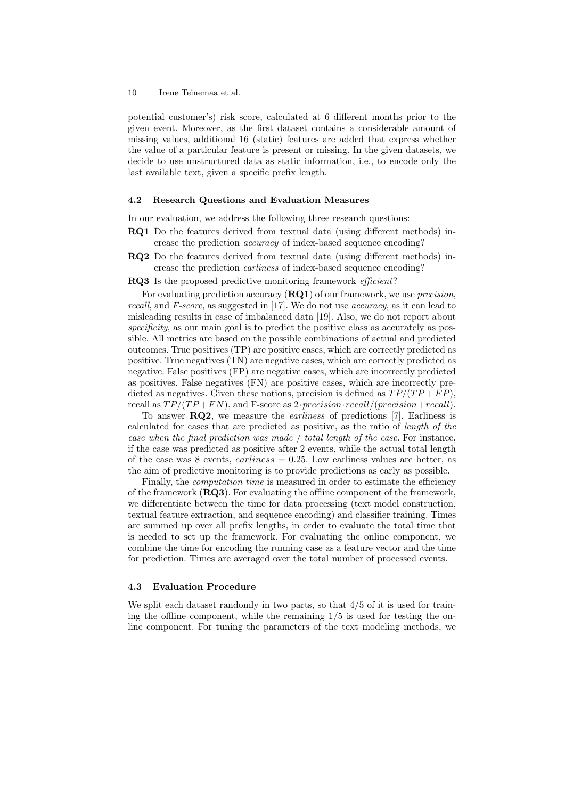potential customer's) risk score, calculated at 6 different months prior to the given event. Moreover, as the first dataset contains a considerable amount of missing values, additional 16 (static) features are added that express whether the value of a particular feature is present or missing. In the given datasets, we decide to use unstructured data as static information, i.e., to encode only the last available text, given a specific prefix length.

#### 4.2 Research Questions and Evaluation Measures

In our evaluation, we address the following three research questions:

- RQ1 Do the features derived from textual data (using different methods) increase the prediction accuracy of index-based sequence encoding?
- RQ2 Do the features derived from textual data (using different methods) increase the prediction earliness of index-based sequence encoding?
- **RQ3** Is the proposed predictive monitoring framework *efficient*?

For evaluating prediction accuracy  $(RQ1)$  of our framework, we use *precision*, recall, and F-score, as suggested in [17]. We do not use accuracy, as it can lead to misleading results in case of imbalanced data [19]. Also, we do not report about specificity, as our main goal is to predict the positive class as accurately as possible. All metrics are based on the possible combinations of actual and predicted outcomes. True positives (TP) are positive cases, which are correctly predicted as positive. True negatives (TN) are negative cases, which are correctly predicted as negative. False positives (FP) are negative cases, which are incorrectly predicted as positives. False negatives (FN) are positive cases, which are incorrectly predicted as negatives. Given these notions, precision is defined as  $TP/(TP + FP)$ , recall as  $TP/(TP+FN)$ , and F-score as  $2 \cdot precision \cdot recall/(precision + recall)$ .

To answer RQ2, we measure the earliness of predictions [7]. Earliness is calculated for cases that are predicted as positive, as the ratio of length of the case when the final prediction was made / total length of the case. For instance, if the case was predicted as positive after 2 events, while the actual total length of the case was 8 events,  $earlines = 0.25$ . Low earliness values are better, as the aim of predictive monitoring is to provide predictions as early as possible.

Finally, the *computation time* is measured in order to estimate the efficiency of the framework (RQ3). For evaluating the offline component of the framework, we differentiate between the time for data processing (text model construction, textual feature extraction, and sequence encoding) and classifier training. Times are summed up over all prefix lengths, in order to evaluate the total time that is needed to set up the framework. For evaluating the online component, we combine the time for encoding the running case as a feature vector and the time for prediction. Times are averaged over the total number of processed events.

# 4.3 Evaluation Procedure

We split each dataset randomly in two parts, so that  $4/5$  of it is used for training the offline component, while the remaining  $1/5$  is used for testing the online component. For tuning the parameters of the text modeling methods, we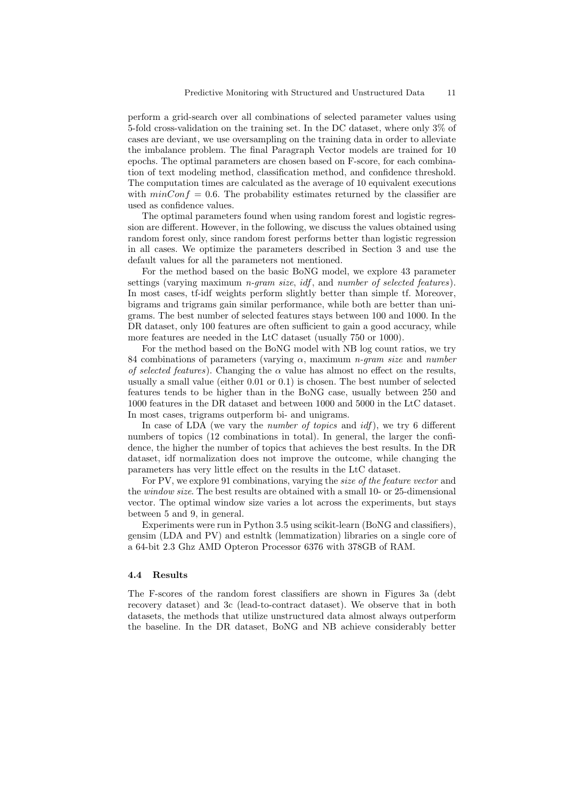perform a grid-search over all combinations of selected parameter values using 5-fold cross-validation on the training set. In the DC dataset, where only 3% of cases are deviant, we use oversampling on the training data in order to alleviate the imbalance problem. The final Paragraph Vector models are trained for 10 epochs. The optimal parameters are chosen based on F-score, for each combination of text modeling method, classification method, and confidence threshold. The computation times are calculated as the average of 10 equivalent executions with  $minConf = 0.6$ . The probability estimates returned by the classifier are used as confidence values.

The optimal parameters found when using random forest and logistic regression are different. However, in the following, we discuss the values obtained using random forest only, since random forest performs better than logistic regression in all cases. We optimize the parameters described in Section 3 and use the default values for all the parameters not mentioned.

For the method based on the basic BoNG model, we explore 43 parameter settings (varying maximum *n-gram size, idf, and number of selected features*). In most cases, tf-idf weights perform slightly better than simple tf. Moreover, bigrams and trigrams gain similar performance, while both are better than unigrams. The best number of selected features stays between 100 and 1000. In the DR dataset, only 100 features are often sufficient to gain a good accuracy, while more features are needed in the LtC dataset (usually 750 or 1000).

For the method based on the BoNG model with NB log count ratios, we try 84 combinations of parameters (varying  $\alpha$ , maximum *n-gram size* and *number* of selected features). Changing the  $\alpha$  value has almost no effect on the results, usually a small value (either 0.01 or 0.1) is chosen. The best number of selected features tends to be higher than in the BoNG case, usually between 250 and 1000 features in the DR dataset and between 1000 and 5000 in the LtC dataset. In most cases, trigrams outperform bi- and unigrams.

In case of LDA (we vary the *number of topics* and *idf*), we try 6 different numbers of topics (12 combinations in total). In general, the larger the confidence, the higher the number of topics that achieves the best results. In the DR dataset, idf normalization does not improve the outcome, while changing the parameters has very little effect on the results in the LtC dataset.

For PV, we explore 91 combinations, varying the size of the feature vector and the window size. The best results are obtained with a small 10- or 25-dimensional vector. The optimal window size varies a lot across the experiments, but stays between 5 and 9, in general.

Experiments were run in Python 3.5 using scikit-learn (BoNG and classifiers), gensim (LDA and PV) and estnltk (lemmatization) libraries on a single core of a 64-bit 2.3 Ghz AMD Opteron Processor 6376 with 378GB of RAM.

#### 4.4 Results

The F-scores of the random forest classifiers are shown in Figures 3a (debt recovery dataset) and 3c (lead-to-contract dataset). We observe that in both datasets, the methods that utilize unstructured data almost always outperform the baseline. In the DR dataset, BoNG and NB achieve considerably better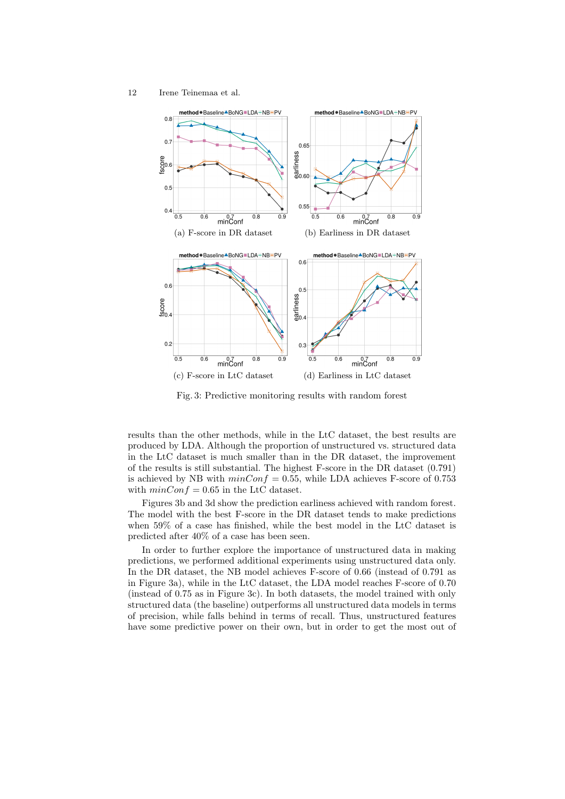

Fig. 3: Predictive monitoring results with random forest

results than the other methods, while in the LtC dataset, the best results are produced by LDA. Although the proportion of unstructured vs. structured data in the LtC dataset is much smaller than in the DR dataset, the improvement of the results is still substantial. The highest F-score in the DR dataset (0.791) is achieved by NB with  $minConf = 0.55$ , while LDA achieves F-score of 0.753 with  $minConf = 0.65$  in the LtC dataset.

Figures 3b and 3d show the prediction earliness achieved with random forest. The model with the best F-score in the DR dataset tends to make predictions when 59% of a case has finished, while the best model in the LtC dataset is predicted after 40% of a case has been seen.

In order to further explore the importance of unstructured data in making predictions, we performed additional experiments using unstructured data only. In the DR dataset, the NB model achieves F-score of 0.66 (instead of 0.791 as in Figure 3a), while in the LtC dataset, the LDA model reaches F-score of 0.70 (instead of 0.75 as in Figure 3c). In both datasets, the model trained with only structured data (the baseline) outperforms all unstructured data models in terms of precision, while falls behind in terms of recall. Thus, unstructured features have some predictive power on their own, but in order to get the most out of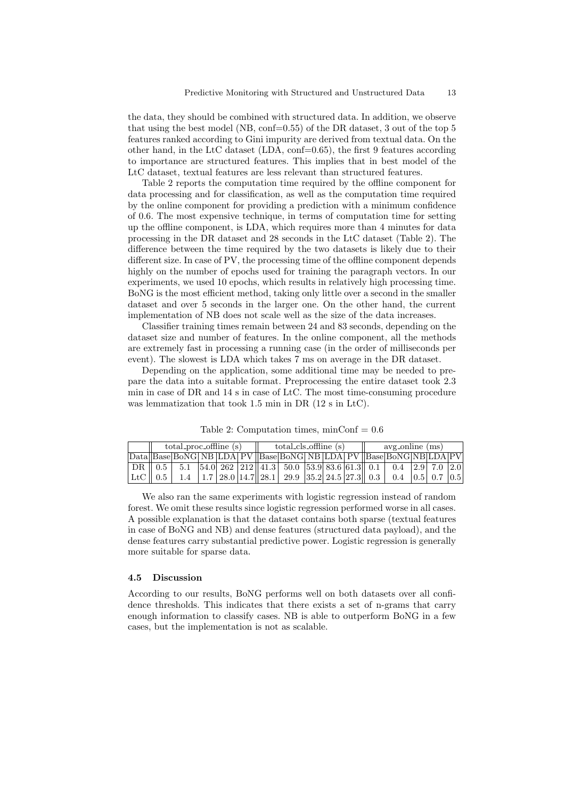the data, they should be combined with structured data. In addition, we observe that using the best model (NB, conf=0.55) of the DR dataset, 3 out of the top 5 features ranked according to Gini impurity are derived from textual data. On the other hand, in the LtC dataset (LDA, conf=0.65), the first 9 features according to importance are structured features. This implies that in best model of the LtC dataset, textual features are less relevant than structured features.

Table 2 reports the computation time required by the offline component for data processing and for classification, as well as the computation time required by the online component for providing a prediction with a minimum confidence of 0.6. The most expensive technique, in terms of computation time for setting up the offline component, is LDA, which requires more than 4 minutes for data processing in the DR dataset and 28 seconds in the LtC dataset (Table 2). The difference between the time required by the two datasets is likely due to their different size. In case of PV, the processing time of the offline component depends highly on the number of epochs used for training the paragraph vectors. In our experiments, we used 10 epochs, which results in relatively high processing time. BoNG is the most efficient method, taking only little over a second in the smaller dataset and over 5 seconds in the larger one. On the other hand, the current implementation of NB does not scale well as the size of the data increases.

Classifier training times remain between 24 and 83 seconds, depending on the dataset size and number of features. In the online component, all the methods are extremely fast in processing a running case (in the order of milliseconds per event). The slowest is LDA which takes 7 ms on average in the DR dataset.

Depending on the application, some additional time may be needed to prepare the data into a suitable format. Preprocessing the entire dataset took 2.3 min in case of DR and 14 s in case of LtC. The most time-consuming procedure was lemmatization that took 1.5 min in DR (12 s in LtC).

Table 2: Computation times,  $minConf = 0.6$ 

|                     | total_proc_offline (s) |                                                                                                                                                                                                                                                                                                                         |  |  |  | total_cls_offline (s) |                                                                                            |  |  | avg_online (ms) |  |  |  |  |  |
|---------------------|------------------------|-------------------------------------------------------------------------------------------------------------------------------------------------------------------------------------------------------------------------------------------------------------------------------------------------------------------------|--|--|--|-----------------------|--------------------------------------------------------------------------------------------|--|--|-----------------|--|--|--|--|--|
|                     |                        | $\lceil \text{Data} \rceil \lceil \text{Base} \rceil \text{BoNG} \rceil \text{NB} \rceil \text{LDA} \rceil \text{PV} \rceil \lceil \text{Base} \rceil \text{BoNG} \rceil \text{NB} \rceil \text{LDA} \rceil \text{PV} \rceil \lceil \text{Base} \rceil \text{BoNG} \rceil \text{NB} \rceil \text{LDA} \rceil \text{PV}$ |  |  |  |                       |                                                                                            |  |  |                 |  |  |  |  |  |
|                     |                        |                                                                                                                                                                                                                                                                                                                         |  |  |  |                       |                                                                                            |  |  |                 |  |  |  |  |  |
| $ $ LtC $ $ 0.5 $ $ |                        |                                                                                                                                                                                                                                                                                                                         |  |  |  |                       | 1.4   1.7   28.0   14.7   28.1   29.9   35.2   24.5   27.3     0.3   0.4   0.5   0.7   0.5 |  |  |                 |  |  |  |  |  |

We also ran the same experiments with logistic regression instead of random forest. We omit these results since logistic regression performed worse in all cases. A possible explanation is that the dataset contains both sparse (textual features in case of BoNG and NB) and dense features (structured data payload), and the dense features carry substantial predictive power. Logistic regression is generally more suitable for sparse data.

#### 4.5 Discussion

According to our results, BoNG performs well on both datasets over all confidence thresholds. This indicates that there exists a set of n-grams that carry enough information to classify cases. NB is able to outperform BoNG in a few cases, but the implementation is not as scalable.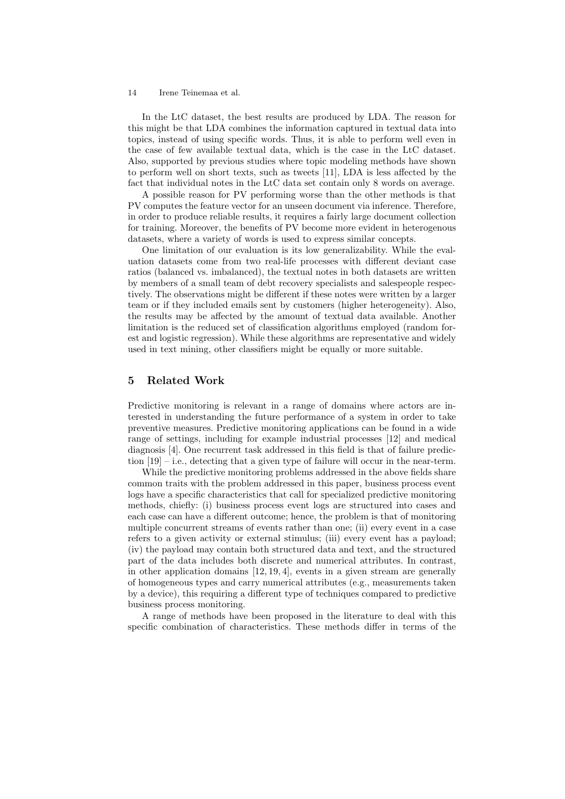In the LtC dataset, the best results are produced by LDA. The reason for this might be that LDA combines the information captured in textual data into topics, instead of using specific words. Thus, it is able to perform well even in the case of few available textual data, which is the case in the LtC dataset. Also, supported by previous studies where topic modeling methods have shown to perform well on short texts, such as tweets [11], LDA is less affected by the fact that individual notes in the LtC data set contain only 8 words on average.

A possible reason for PV performing worse than the other methods is that PV computes the feature vector for an unseen document via inference. Therefore, in order to produce reliable results, it requires a fairly large document collection for training. Moreover, the benefits of PV become more evident in heterogenous datasets, where a variety of words is used to express similar concepts.

One limitation of our evaluation is its low generalizability. While the evaluation datasets come from two real-life processes with different deviant case ratios (balanced vs. imbalanced), the textual notes in both datasets are written by members of a small team of debt recovery specialists and salespeople respectively. The observations might be different if these notes were written by a larger team or if they included emails sent by customers (higher heterogeneity). Also, the results may be affected by the amount of textual data available. Another limitation is the reduced set of classification algorithms employed (random forest and logistic regression). While these algorithms are representative and widely used in text mining, other classifiers might be equally or more suitable.

# 5 Related Work

Predictive monitoring is relevant in a range of domains where actors are interested in understanding the future performance of a system in order to take preventive measures. Predictive monitoring applications can be found in a wide range of settings, including for example industrial processes [12] and medical diagnosis [4]. One recurrent task addressed in this field is that of failure prediction [19] – i.e., detecting that a given type of failure will occur in the near-term.

While the predictive monitoring problems addressed in the above fields share common traits with the problem addressed in this paper, business process event logs have a specific characteristics that call for specialized predictive monitoring methods, chiefly: (i) business process event logs are structured into cases and each case can have a different outcome; hence, the problem is that of monitoring multiple concurrent streams of events rather than one; (ii) every event in a case refers to a given activity or external stimulus; (iii) every event has a payload; (iv) the payload may contain both structured data and text, and the structured part of the data includes both discrete and numerical attributes. In contrast, in other application domains [12, 19, 4], events in a given stream are generally of homogeneous types and carry numerical attributes (e.g., measurements taken by a device), this requiring a different type of techniques compared to predictive business process monitoring.

A range of methods have been proposed in the literature to deal with this specific combination of characteristics. These methods differ in terms of the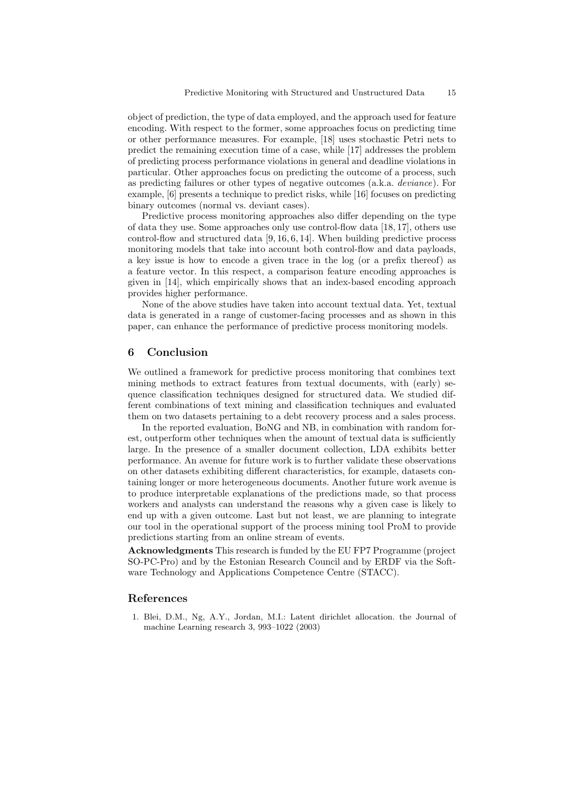object of prediction, the type of data employed, and the approach used for feature encoding. With respect to the former, some approaches focus on predicting time or other performance measures. For example, [18] uses stochastic Petri nets to predict the remaining execution time of a case, while [17] addresses the problem of predicting process performance violations in general and deadline violations in particular. Other approaches focus on predicting the outcome of a process, such as predicting failures or other types of negative outcomes (a.k.a. deviance). For example, [6] presents a technique to predict risks, while [16] focuses on predicting binary outcomes (normal vs. deviant cases).

Predictive process monitoring approaches also differ depending on the type of data they use. Some approaches only use control-flow data [18, 17], others use control-flow and structured data [9, 16, 6, 14]. When building predictive process monitoring models that take into account both control-flow and data payloads, a key issue is how to encode a given trace in the log (or a prefix thereof) as a feature vector. In this respect, a comparison feature encoding approaches is given in [14], which empirically shows that an index-based encoding approach provides higher performance.

None of the above studies have taken into account textual data. Yet, textual data is generated in a range of customer-facing processes and as shown in this paper, can enhance the performance of predictive process monitoring models.

# 6 Conclusion

We outlined a framework for predictive process monitoring that combines text mining methods to extract features from textual documents, with (early) sequence classification techniques designed for structured data. We studied different combinations of text mining and classification techniques and evaluated them on two datasets pertaining to a debt recovery process and a sales process.

In the reported evaluation, BoNG and NB, in combination with random forest, outperform other techniques when the amount of textual data is sufficiently large. In the presence of a smaller document collection, LDA exhibits better performance. An avenue for future work is to further validate these observations on other datasets exhibiting different characteristics, for example, datasets containing longer or more heterogeneous documents. Another future work avenue is to produce interpretable explanations of the predictions made, so that process workers and analysts can understand the reasons why a given case is likely to end up with a given outcome. Last but not least, we are planning to integrate our tool in the operational support of the process mining tool ProM to provide predictions starting from an online stream of events.

Acknowledgments This research is funded by the EU FP7 Programme (project SO-PC-Pro) and by the Estonian Research Council and by ERDF via the Software Technology and Applications Competence Centre (STACC).

# References

1. Blei, D.M., Ng, A.Y., Jordan, M.I.: Latent dirichlet allocation. the Journal of machine Learning research 3, 993–1022 (2003)